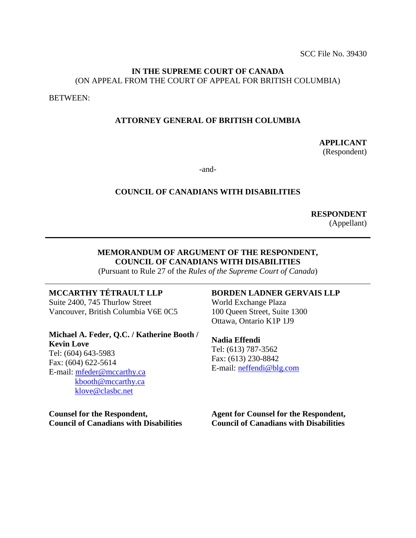#### **IN THE SUPREME COURT OF CANADA** (ON APPEAL FROM THE COURT OF APPEAL FOR BRITISH COLUMBIA)

BETWEEN:

#### **ATTORNEY GENERAL OF BRITISH COLUMBIA**

**APPLICANT** (Respondent)

-and-

#### **COUNCIL OF CANADIANS WITH DISABILITIES**

**RESPONDENT** (Appellant)

### **MEMORANDUM OF ARGUMENT OF THE RESPONDENT, COUNCIL OF CANADIANS WITH DISABILITIES**

(Pursuant to Rule 27 of the *Rules of the Supreme Court of Canada*)

## **MCCARTHY TÉTRAULT LLP**

Suite 2400, 745 Thurlow Street Vancouver, British Columbia V6E 0C5

**Michael A. Feder, Q.C. / Katherine Booth / Kevin Love** Tel: (604) 643-5983 Fax: (604) 622-5614 E-mail: [mfeder@mccarthy.ca](mailto:mfeder@mccarthy.ca) [kbooth@mccarthy.ca](mailto:kbooth@mccarthy.ca) [klove@clasbc.net](mailto:klove@clasbc.net)

**Counsel for the Respondent, Council of Canadians with Disabilities**

## **BORDEN LADNER GERVAIS LLP**

World Exchange Plaza 100 Queen Street, Suite 1300 Ottawa, Ontario K1P 1J9

## **Nadia Effendi**

Tel: (613) 787-3562 Fax: (613) 230-8842 E-mail: [neffendi@blg.com](mailto:neffendi@blg.com)

**Agent for Counsel for the Respondent, Council of Canadians with Disabilities**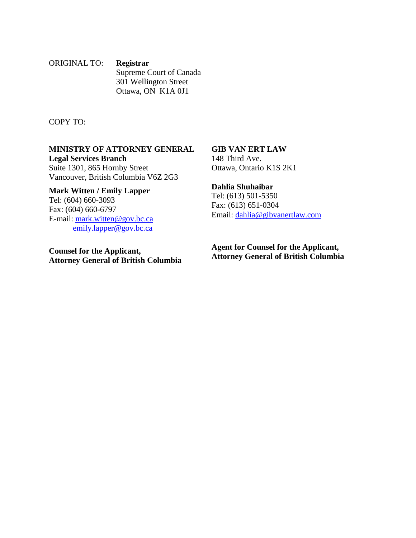ORIGINAL TO: **Registrar** Supreme Court of Canada 301 Wellington Street Ottawa, ON K1A 0J1

COPY TO:

## **MINISTRY OF ATTORNEY GENERAL Legal Services Branch**

Suite 1301, 865 Hornby Street Vancouver, British Columbia V6Z 2G3

**Mark Witten / Emily Lapper** Tel: (604) 660-3093 Fax: (604) 660-6797 E-mail: [mark.witten@gov.bc.ca](mailto:mark.witten@gov.bc.ca) [emily.lapper@gov.bc.ca](mailto:emily.lapper@gov.bc.ca)

**Counsel for the Applicant, Attorney General of British Columbia** **GIB VAN ERT LAW** 148 Third Ave.

Ottawa, Ontario K1S 2K1

### **Dahlia Shuhaibar**

Tel: (613) 501-5350 Fax: (613) 651-0304 Email: [dahlia@gibvanertlaw.com](mailto:dahlia@gibvanertlaw.com)

**Agent for Counsel for the Applicant, Attorney General of British Columbia**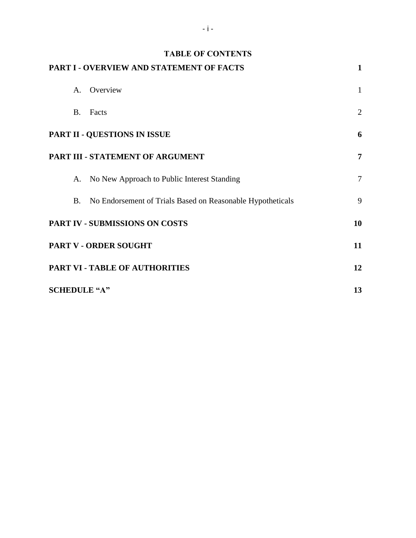| <b>TABLE OF CONTENTS</b>                                                |                |
|-------------------------------------------------------------------------|----------------|
| PART I - OVERVIEW AND STATEMENT OF FACTS                                | 1              |
| Overview<br>$\mathbf{A}$                                                | $\mathbf{1}$   |
| <b>B.</b><br>Facts                                                      | $\overline{2}$ |
| PART II - QUESTIONS IN ISSUE                                            | 6              |
| PART III - STATEMENT OF ARGUMENT                                        | 7              |
| A. No New Approach to Public Interest Standing                          | $\tau$         |
| No Endorsement of Trials Based on Reasonable Hypotheticals<br><b>B.</b> | 9              |
| PART IV - SUBMISSIONS ON COSTS                                          | 10             |
| PART V - ORDER SOUGHT                                                   | 11             |
| PART VI - TABLE OF AUTHORITIES                                          | 12             |
| <b>SCHEDULE "A"</b>                                                     | 13             |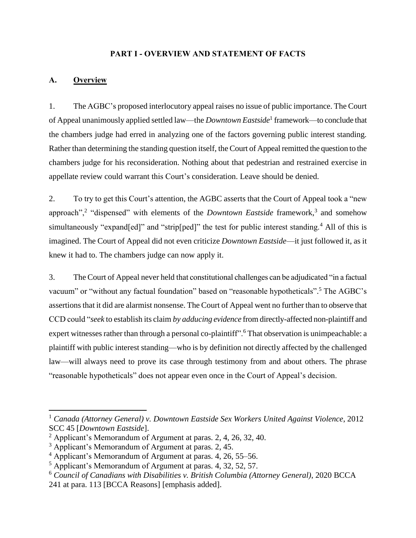### **PART I - OVERVIEW AND STATEMENT OF FACTS**

## <span id="page-3-1"></span><span id="page-3-0"></span>**A. Overview**

 $\overline{a}$ 

1. The AGBC's proposed interlocutory appeal raises no issue of public importance. The Court of Appeal unanimously applied settled law—the *Downtown Eastside*<sup>1</sup> framework—to conclude that the chambers judge had erred in analyzing one of the factors governing public interest standing. Rather than determining the standing question itself, the Court of Appeal remitted the question to the chambers judge for his reconsideration. Nothing about that pedestrian and restrained exercise in appellate review could warrant this Court's consideration. Leave should be denied.

2. To try to get this Court's attention, the AGBC asserts that the Court of Appeal took a "new approach",<sup>2</sup> "dispensed" with elements of the *Downtown Eastside* framework,<sup>3</sup> and somehow simultaneously "expand[ed]" and "strip[ped]" the test for public interest standing.<sup>4</sup> All of this is imagined. The Court of Appeal did not even criticize *Downtown Eastside*—it just followed it, as it knew it had to. The chambers judge can now apply it.

3. The Court of Appeal never held that constitutional challenges can be adjudicated "in a factual vacuum" or "without any factual foundation" based on "reasonable hypotheticals".<sup>5</sup> The AGBC's assertions that it did are alarmist nonsense. The Court of Appeal went no further than to observe that CCD could "*seek* to establish its claim *by adducing evidence* from directly-affected non-plaintiff and expert witnesses rather than through a personal co-plaintiff".<sup>6</sup> That observation is unimpeachable: a plaintiff with public interest standing—who is by definition not directly affected by the challenged law—will always need to prove its case through testimony from and about others. The phrase "reasonable hypotheticals" does not appear even once in the Court of Appeal's decision.

<sup>1</sup> *Canada (Attorney General) v. Downtown Eastside Sex Workers United Against Violence*, 2012 SCC 45 [*Downtown Eastside*].

 $^2$  Applicant's Memorandum of Argument at paras. 2, 4, 26, 32, 40.

 $3$  Applicant's Memorandum of Argument at paras. 2, 45.

 $4$  Applicant's Memorandum of Argument at paras. 4, 26, 55–56.

<sup>5</sup> Applicant's Memorandum of Argument at paras. 4, 32, 52, 57.

<sup>6</sup> *Council of Canadians with Disabilities v. British Columbia (Attorney General)*, 2020 BCCA

<sup>241</sup> at para. 113 [BCCA Reasons] [emphasis added].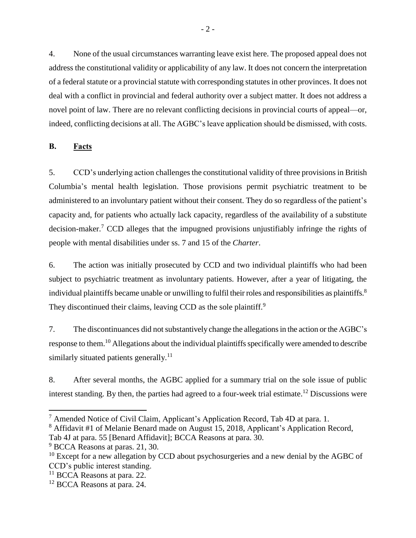4. None of the usual circumstances warranting leave exist here. The proposed appeal does not address the constitutional validity or applicability of any law. It does not concern the interpretation of a federal statute or a provincial statute with corresponding statutes in other provinces. It does not deal with a conflict in provincial and federal authority over a subject matter. It does not address a novel point of law. There are no relevant conflicting decisions in provincial courts of appeal—or, indeed, conflicting decisions at all. The AGBC's leave application should be dismissed, with costs.

<span id="page-4-0"></span>**B. Facts**

5. CCD's underlying action challenges the constitutional validity of three provisions in British Columbia's mental health legislation. Those provisions permit psychiatric treatment to be administered to an involuntary patient without their consent. They do so regardless of the patient's capacity and, for patients who actually lack capacity, regardless of the availability of a substitute decision-maker. <sup>7</sup> CCD alleges that the impugned provisions unjustifiably infringe the rights of people with mental disabilities under ss. 7 and 15 of the *Charter*.

6. The action was initially prosecuted by CCD and two individual plaintiffs who had been subject to psychiatric treatment as involuntary patients. However, after a year of litigating, the individual plaintiffs became unable or unwilling to fulfil their roles and responsibilities as plaintiffs.<sup>8</sup> They discontinued their claims, leaving CCD as the sole plaintiff.<sup>9</sup>

7. The discontinuances did not substantively change the allegations in the action or the AGBC's response to them.<sup>10</sup> Allegations about the individual plaintiffs specifically were amended to describe similarly situated patients generally.<sup>11</sup>

8. After several months, the AGBC applied for a summary trial on the sole issue of public interest standing. By then, the parties had agreed to a four-week trial estimate.<sup>12</sup> Discussions were

 $7$  Amended Notice of Civil Claim, Applicant's Application Record, Tab 4D at para. 1.

<sup>&</sup>lt;sup>8</sup> Affidavit #1 of Melanie Benard made on August 15, 2018, Applicant's Application Record,

Tab 4J at para. 55 [Benard Affidavit]; BCCA Reasons at para. 30.

<sup>&</sup>lt;sup>9</sup> BCCA Reasons at paras. 21, 30.

 $10$  Except for a new allegation by CCD about psychosurgeries and a new denial by the AGBC of CCD's public interest standing.

<sup>&</sup>lt;sup>11</sup> BCCA Reasons at para. 22.

<sup>&</sup>lt;sup>12</sup> BCCA Reasons at para. 24.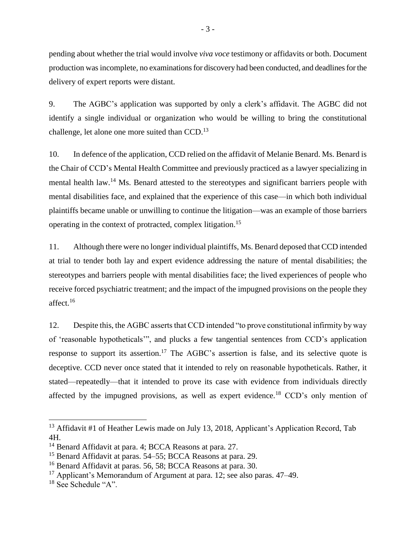pending about whether the trial would involve *viva voce* testimony or affidavits or both. Document production was incomplete, no examinations for discovery had been conducted, and deadlines for the delivery of expert reports were distant.

9. The AGBC's application was supported by only a clerk's affidavit. The AGBC did not identify a single individual or organization who would be willing to bring the constitutional challenge, let alone one more suited than CCD.<sup>13</sup>

10. In defence of the application, CCD relied on the affidavit of Melanie Benard. Ms. Benard is the Chair of CCD's Mental Health Committee and previously practiced as a lawyer specializing in mental health law.<sup>14</sup> Ms. Benard attested to the stereotypes and significant barriers people with mental disabilities face, and explained that the experience of this case—in which both individual plaintiffs became unable or unwilling to continue the litigation—was an example of those barriers operating in the context of protracted, complex litigation. 15

11. Although there were no longer individual plaintiffs, Ms. Benard deposed that CCD intended at trial to tender both lay and expert evidence addressing the nature of mental disabilities; the stereotypes and barriers people with mental disabilities face; the lived experiences of people who receive forced psychiatric treatment; and the impact of the impugned provisions on the people they affect.<sup>16</sup>

12. Despite this, the AGBC asserts that CCD intended "to prove constitutional infirmity by way of 'reasonable hypotheticals'", and plucks a few tangential sentences from CCD's application response to support its assertion.<sup>17</sup> The AGBC's assertion is false, and its selective quote is deceptive. CCD never once stated that it intended to rely on reasonable hypotheticals. Rather, it stated—repeatedly—that it intended to prove its case with evidence from individuals directly affected by the impugned provisions, as well as expert evidence.<sup>18</sup> CCD's only mention of

<sup>&</sup>lt;sup>13</sup> Affidavit #1 of Heather Lewis made on July 13, 2018, Applicant's Application Record, Tab 4H.

<sup>&</sup>lt;sup>14</sup> Benard Affidavit at para. 4; BCCA Reasons at para. 27.

<sup>&</sup>lt;sup>15</sup> Benard Affidavit at paras. 54–55; BCCA Reasons at para. 29.

<sup>&</sup>lt;sup>16</sup> Benard Affidavit at paras. 56, 58; BCCA Reasons at para. 30.

<sup>&</sup>lt;sup>17</sup> Applicant's Memorandum of Argument at para. 12; see also paras.  $47-49$ .

<sup>&</sup>lt;sup>18</sup> See Schedule "A".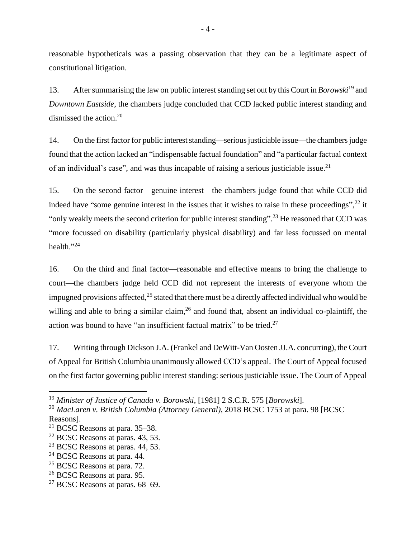reasonable hypotheticals was a passing observation that they can be a legitimate aspect of constitutional litigation.

13. After summarising the law on public interest standing set out by this Court in *Borowski*<sup>19</sup> and *Downtown Eastside*, the chambers judge concluded that CCD lacked public interest standing and dismissed the action. 20

14. On the first factor for public interest standing—serious justiciable issue—the chambers judge found that the action lacked an "indispensable factual foundation" and "a particular factual context of an individual's case", and was thus incapable of raising a serious justiciable issue.<sup>21</sup>

15. On the second factor—genuine interest—the chambers judge found that while CCD did indeed have "some genuine interest in the issues that it wishes to raise in these proceedings",<sup>22</sup> it "only weakly meets the second criterion for public interest standing".<sup>23</sup> He reasoned that CCD was "more focussed on disability (particularly physical disability) and far less focussed on mental health."<sup>24</sup>

16. On the third and final factor—reasonable and effective means to bring the challenge to court—the chambers judge held CCD did not represent the interests of everyone whom the impugned provisions affected, $25$  stated that there must be a directly affected individual who would be willing and able to bring a similar claim,  $^{26}$  and found that, absent an individual co-plaintiff, the action was bound to have "an insufficient factual matrix" to be tried.<sup>27</sup>

17. Writing through Dickson J.A. (Frankel and DeWitt-Van Oosten JJ.A. concurring), the Court of Appeal for British Columbia unanimously allowed CCD's appeal. The Court of Appeal focused on the first factor governing public interest standing: serious justiciable issue. The Court of Appeal

<sup>19</sup> *Minister of Justice of Canada v. Borowski*, [1981] 2 S.C.R. 575 [*Borowski*].

<sup>20</sup> *MacLaren v. British Columbia (Attorney General)*, 2018 BCSC 1753 at para. 98 [BCSC Reasons].

<sup>21</sup> BCSC Reasons at para. 35–38.

 $22$  BCSC Reasons at paras. 43, 53.

 $23$  BCSC Reasons at paras. 44, 53.

<sup>&</sup>lt;sup>24</sup> BCSC Reasons at para. 44.

<sup>&</sup>lt;sup>25</sup> BCSC Reasons at para. 72.

<sup>26</sup> BCSC Reasons at para. 95.

 $27$  BCSC Reasons at paras. 68–69.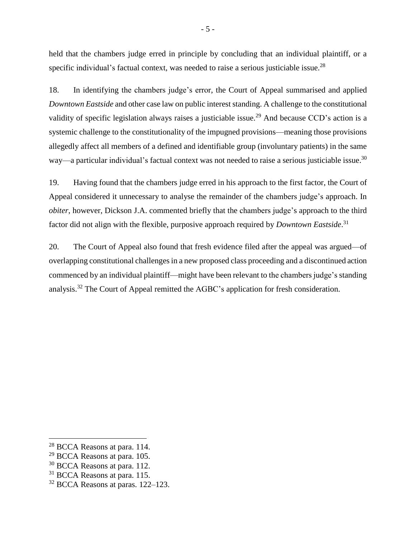held that the chambers judge erred in principle by concluding that an individual plaintiff, or a specific individual's factual context, was needed to raise a serious justiciable issue.<sup>28</sup>

18. In identifying the chambers judge's error, the Court of Appeal summarised and applied *Downtown Eastside* and other case law on public interest standing. A challenge to the constitutional validity of specific legislation always raises a justiciable issue.<sup>29</sup> And because CCD's action is a systemic challenge to the constitutionality of the impugned provisions—meaning those provisions allegedly affect all members of a defined and identifiable group (involuntary patients) in the same way—a particular individual's factual context was not needed to raise a serious justiciable issue.<sup>30</sup>

19. Having found that the chambers judge erred in his approach to the first factor, the Court of Appeal considered it unnecessary to analyse the remainder of the chambers judge's approach. In *obiter*, however, Dickson J.A. commented briefly that the chambers judge's approach to the third factor did not align with the flexible, purposive approach required by *Downtown Eastside*. 31

20. The Court of Appeal also found that fresh evidence filed after the appeal was argued—of overlapping constitutional challenges in a new proposed class proceeding and a discontinued action commenced by an individual plaintiff—might have been relevant to the chambers judge's standing analysis.<sup>32</sup> The Court of Appeal remitted the AGBC's application for fresh consideration.

<sup>&</sup>lt;sup>28</sup> BCCA Reasons at para. 114.

<sup>29</sup> BCCA Reasons at para. 105.

<sup>&</sup>lt;sup>30</sup> BCCA Reasons at para. 112.

<sup>&</sup>lt;sup>31</sup> BCCA Reasons at para. 115.

<sup>&</sup>lt;sup>32</sup> BCCA Reasons at paras. 122–123.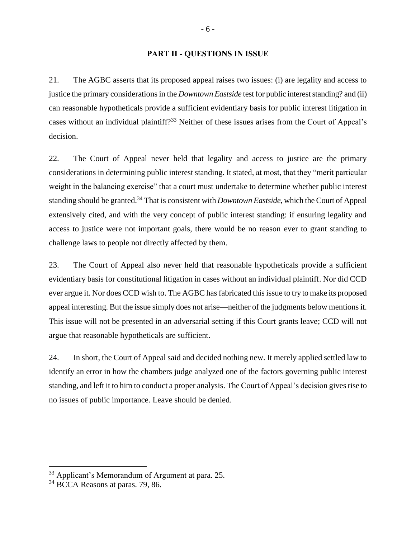#### **PART II - QUESTIONS IN ISSUE**

<span id="page-8-0"></span>21. The AGBC asserts that its proposed appeal raises two issues: (i) are legality and access to justice the primary considerations in the *Downtown Eastside* test for public interest standing? and (ii) can reasonable hypotheticals provide a sufficient evidentiary basis for public interest litigation in cases without an individual plaintiff?<sup>33</sup> Neither of these issues arises from the Court of Appeal's decision.

22. The Court of Appeal never held that legality and access to justice are the primary considerations in determining public interest standing. It stated, at most, that they "merit particular weight in the balancing exercise" that a court must undertake to determine whether public interest standing should be granted. <sup>34</sup> That is consistent with *Downtown Eastside*, which theCourt of Appeal extensively cited, and with the very concept of public interest standing: if ensuring legality and access to justice were not important goals, there would be no reason ever to grant standing to challenge laws to people not directly affected by them.

23. The Court of Appeal also never held that reasonable hypotheticals provide a sufficient evidentiary basis for constitutional litigation in cases without an individual plaintiff. Nor did CCD ever argue it. Nor does CCD wish to. The AGBC has fabricated this issue to try to make its proposed appeal interesting. But the issue simply does not arise—neither of the judgments below mentions it. This issue will not be presented in an adversarial setting if this Court grants leave; CCD will not argue that reasonable hypotheticals are sufficient.

24. In short, the Court of Appeal said and decided nothing new. It merely applied settled law to identify an error in how the chambers judge analyzed one of the factors governing public interest standing, and left it to him to conduct a proper analysis. The Court of Appeal's decision gives rise to no issues of public importance. Leave should be denied.

<sup>&</sup>lt;sup>33</sup> Applicant's Memorandum of Argument at para. 25.

<sup>&</sup>lt;sup>34</sup> BCCA Reasons at paras. 79, 86.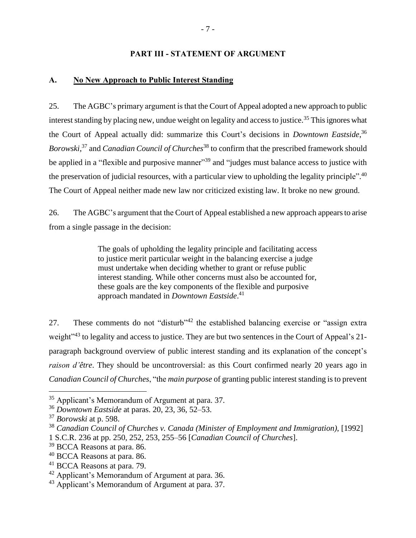#### **PART III - STATEMENT OF ARGUMENT**

#### <span id="page-9-1"></span><span id="page-9-0"></span>**A. No New Approach to Public Interest Standing**

25. The AGBC's primary argument is that the Court of Appeal adopted a new approach to public interest standing by placing new, undue weight on legality and access to justice.<sup>35</sup> This ignores what the Court of Appeal actually did: summarize this Court's decisions in *Downtown Eastside*, 36 *Borowski*, <sup>37</sup> and *Canadian Council of Churches*<sup>38</sup> to confirm that the prescribed framework should be applied in a "flexible and purposive manner"<sup>39</sup> and "judges must balance access to justice with the preservation of judicial resources, with a particular view to upholding the legality principle".<sup>40</sup> The Court of Appeal neither made new law nor criticized existing law. It broke no new ground.

26. The AGBC's argument that the Court of Appeal established a new approach appears to arise from a single passage in the decision:

> The goals of upholding the legality principle and facilitating access to justice merit particular weight in the balancing exercise a judge must undertake when deciding whether to grant or refuse public interest standing. While other concerns must also be accounted for, these goals are the key components of the flexible and purposive approach mandated in *Downtown Eastside*. 41

27. These comments do not "disturb"<sup>42</sup> the established balancing exercise or "assign extra weight<sup>"43</sup> to legality and access to justice. They are but two sentences in the Court of Appeal's 21paragraph background overview of public interest standing and its explanation of the concept's *raison d'être*. They should be uncontroversial: as this Court confirmed nearly 20 years ago in *Canadian Council of Churches*, "the *main purpose* of granting public interest standing is to prevent

<sup>35</sup> Applicant's Memorandum of Argument at para. 37.

<sup>36</sup> *Downtown Eastside* at paras. 20, 23, 36, 52–53.

<sup>37</sup> *Borowski* at p. 598.

<sup>38</sup> *Canadian Council of Churches v. Canada (Minister of Employment and Immigration)*, [1992] 1 S.C.R. 236 at pp. 250, 252, 253, 255–56 [*Canadian Council of Churches*].

<sup>39</sup> BCCA Reasons at para. 86.

<sup>40</sup> BCCA Reasons at para. 86.

<sup>41</sup> BCCA Reasons at para. 79.

<sup>42</sup> Applicant's Memorandum of Argument at para. 36.

<sup>&</sup>lt;sup>43</sup> Applicant's Memorandum of Argument at para. 37.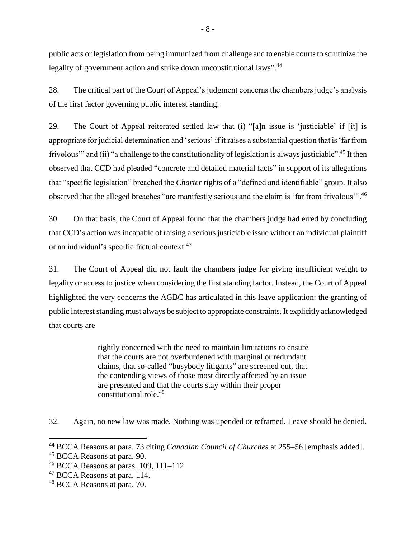public acts or legislation from being immunized from challenge and to enable courts to scrutinize the legality of government action and strike down unconstitutional laws".<sup>44</sup>

28. The critical part of the Court of Appeal's judgment concerns the chambers judge's analysis of the first factor governing public interest standing.

29. The Court of Appeal reiterated settled law that (i) "[a]n issue is 'justiciable' if [it] is appropriate for judicial determination and 'serious' if it raises a substantial question that is 'far from frivolous" and (ii) "a challenge to the constitutionality of legislation is always justiciable".<sup>45</sup> It then observed that CCD had pleaded "concrete and detailed material facts" in support of its allegations that "specific legislation" breached the *Charter* rights of a "defined and identifiable" group. It also observed that the alleged breaches "are manifestly serious and the claim is 'far from frivolous'".<sup>46</sup>

30. On that basis, the Court of Appeal found that the chambers judge had erred by concluding that CCD's action was incapable of raising a serious justiciable issue without an individual plaintiff or an individual's specific factual context.<sup>47</sup>

31. The Court of Appeal did not fault the chambers judge for giving insufficient weight to legality or access to justice when considering the first standing factor. Instead, the Court of Appeal highlighted the very concerns the AGBC has articulated in this leave application: the granting of public interest standing must always be subject to appropriate constraints. It explicitly acknowledged that courts are

> rightly concerned with the need to maintain limitations to ensure that the courts are not overburdened with marginal or redundant claims, that so-called "busybody litigants" are screened out, that the contending views of those most directly affected by an issue are presented and that the courts stay within their proper constitutional role. 48

32. Again, no new law was made. Nothing was upended or reframed. Leave should be denied.

<sup>44</sup> BCCA Reasons at para. 73 citing *Canadian Council of Churches* at 255–56 [emphasis added].

<sup>45</sup> BCCA Reasons at para. 90.

 $46$  BCCA Reasons at paras. 109, 111–112

<sup>&</sup>lt;sup>47</sup> BCCA Reasons at para. 114.

<sup>48</sup> BCCA Reasons at para. 70.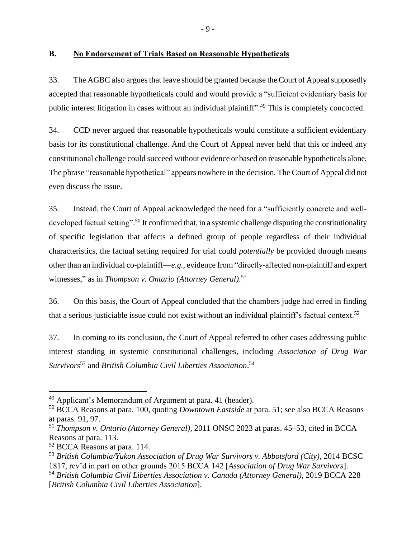### <span id="page-11-0"></span>**B. No Endorsement of Trials Based on Reasonable Hypotheticals**

33. The AGBC also argues that leave should be granted because the Court of Appeal supposedly accepted that reasonable hypotheticals could and would provide a "sufficient evidentiary basis for public interest litigation in cases without an individual plaintiff".<sup>49</sup> This is completely concocted.

34. CCD never argued that reasonable hypotheticals would constitute a sufficient evidentiary basis for its constitutional challenge. And the Court of Appeal never held that this or indeed any constitutional challenge could succeed without evidence or based on reasonable hypotheticals alone. The phrase "reasonable hypothetical" appears nowhere in the decision. The Court of Appeal did not even discuss the issue.

35. Instead, the Court of Appeal acknowledged the need for a "sufficiently concrete and welldeveloped factual setting".<sup>50</sup> It confirmed that, in a systemic challenge disputing the constitutionality of specific legislation that affects a defined group of people regardless of their individual characteristics, the factual setting required for trial could *potentially* be provided through means other than an individual co-plaintiff—*e.g.*, evidence from "directly-affected non-plaintiff and expert witnesses," as in *Thompson v. Ontario (Attorney General)*. 51

36. On this basis, the Court of Appeal concluded that the chambers judge had erred in finding that a serious justiciable issue could not exist without an individual plaintiff's factual context.<sup>52</sup>

37. In coming to its conclusion, the Court of Appeal referred to other cases addressing public interest standing in systemic constitutional challenges, including *Association of Drug War Survivors*<sup>53</sup> and *British Columbia Civil Liberties Association*. 54

<sup>49</sup> Applicant's Memorandum of Argument at para. 41 (header).

<sup>50</sup> BCCA Reasons at para. 100, quoting *Downtown Eastside* at para. 51; see also BCCA Reasons at paras. 91, 97.

<sup>51</sup> *Thompson v. Ontario (Attorney General)*, 2011 ONSC 2023 at paras. 45–53, cited in BCCA Reasons at para. 113.

<sup>52</sup> BCCA Reasons at para. 114.

<sup>53</sup> *British Columbia/Yukon Association of Drug War Survivors v. Abbotsford (City)*, 2014 BCSC 1817, rev'd in part on other grounds 2015 BCCA 142 [*Association of Drug War Survivors*].

<sup>54</sup> *British Columbia Civil Liberties Association v. Canada (Attorney General)*, 2019 BCCA 228 [*British Columbia Civil Liberties Association*].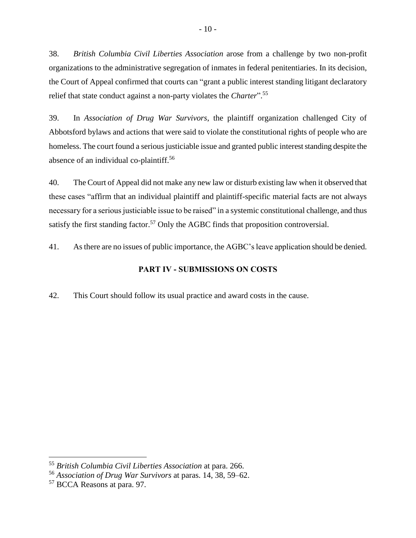38. *British Columbia Civil Liberties Association* arose from a challenge by two non-profit organizations to the administrative segregation of inmates in federal penitentiaries. In its decision, the Court of Appeal confirmed that courts can "grant a public interest standing litigant declaratory relief that state conduct against a non-party violates the *Charter*". 55

39. In *Association of Drug War Survivors*, the plaintiff organization challenged City of Abbotsford bylaws and actions that were said to violate the constitutional rights of people who are homeless. The court found a serious justiciable issue and granted public interest standing despite the absence of an individual co-plaintiff. 56

40. The Court of Appeal did not make any new law or disturb existing law when it observed that these cases "affirm that an individual plaintiff and plaintiff-specific material facts are not always necessary for a serious justiciable issue to be raised" in a systemic constitutional challenge, and thus satisfy the first standing factor.<sup>57</sup> Only the AGBC finds that proposition controversial.

<span id="page-12-0"></span>41. As there are no issues of public importance, the AGBC's leave application should be denied.

## **PART IV - SUBMISSIONS ON COSTS**

42. This Court should follow its usual practice and award costs in the cause.

<sup>55</sup> *British Columbia Civil Liberties Association* at para. 266.

<sup>56</sup> *Association of Drug War Survivors* at paras. 14, 38, 59–62.

<sup>57</sup> BCCA Reasons at para. 97.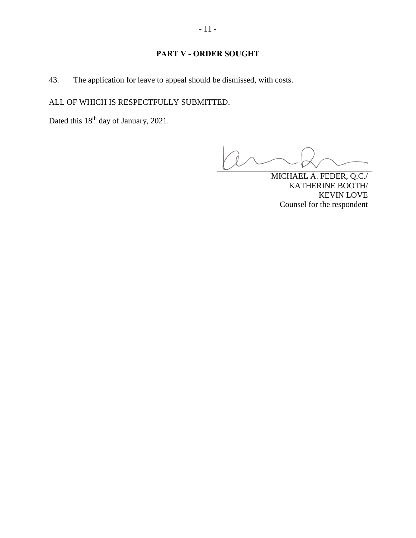## **PART V - ORDER SOUGHT**

43. The application for leave to appeal should be dismissed, with costs.

ALL OF WHICH IS RESPECTFULLY SUBMITTED.

Dated this  $18<sup>th</sup>$  day of January, 2021.

Ó

MICHAEL A. FEDER, Q.C./ KATHERINE BOOTH/ KEVIN LOVE Counsel for the respondent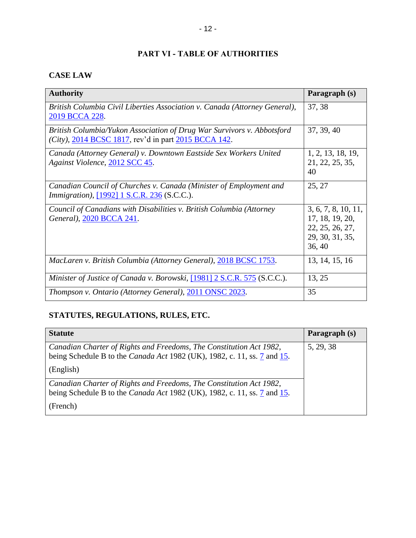## **PART VI - TABLE OF AUTHORITIES**

## <span id="page-14-0"></span>**CASE LAW**

| <b>Authority</b>                                                                                                               | Paragraph (s)                                                                          |
|--------------------------------------------------------------------------------------------------------------------------------|----------------------------------------------------------------------------------------|
| British Columbia Civil Liberties Association v. Canada (Attorney General),<br>2019 BCCA 228.                                   | 37, 38                                                                                 |
| British Columbia/Yukon Association of Drug War Survivors v. Abbotsford<br>(City), 2014 BCSC 1817, rev'd in part 2015 BCCA 142. | 37, 39, 40                                                                             |
| Canada (Attorney General) v. Downtown Eastside Sex Workers United<br>Against Violence, 2012 SCC 45.                            | 1, 2, 13, 18, 19,<br>21, 22, 25, 35,<br>40                                             |
| Canadian Council of Churches v. Canada (Minister of Employment and<br><i>Immigration</i> ), [1992] 1 S.C.R. 236 (S.C.C.).      | 25, 27                                                                                 |
| Council of Canadians with Disabilities v. British Columbia (Attorney<br>General), 2020 BCCA 241.                               | 3, 6, 7, 8, 10, 11,<br>17, 18, 19, 20,<br>22, 25, 26, 27,<br>29, 30, 31, 35,<br>36, 40 |
| MacLaren v. British Columbia (Attorney General), 2018 BCSC 1753.                                                               | 13, 14, 15, 16                                                                         |
| Minister of Justice of Canada v. Borowski, [1981] 2 S.C.R. 575 (S.C.C.).                                                       | 13, 25                                                                                 |
| Thompson v. Ontario (Attorney General), 2011 ONSC 2023.                                                                        | 35                                                                                     |

# **STATUTES, REGULATIONS, RULES, ETC.**

| <b>Statute</b>                                                                                                                                         | Paragraph (s) |
|--------------------------------------------------------------------------------------------------------------------------------------------------------|---------------|
| Canadian Charter of Rights and Freedoms, The Constitution Act 1982,<br>being Schedule B to the <i>Canada Act</i> 1982 (UK), 1982, c. 11, ss. 7 and 15. | 5, 29, 38     |
| (English)                                                                                                                                              |               |
| Canadian Charter of Rights and Freedoms, The Constitution Act 1982,<br>being Schedule B to the <i>Canada Act</i> 1982 (UK), 1982, c. 11, ss. 7 and 15. |               |
| (French)                                                                                                                                               |               |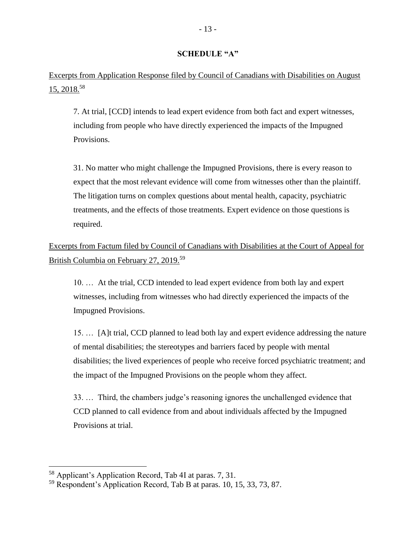#### **SCHEDULE "A"**

Excerpts from Application Response filed by Council of Canadians with Disabilities on August 15, 2018. 58

7. At trial, [CCD] intends to lead expert evidence from both fact and expert witnesses, including from people who have directly experienced the impacts of the Impugned Provisions.

31. No matter who might challenge the Impugned Provisions, there is every reason to expect that the most relevant evidence will come from witnesses other than the plaintiff. The litigation turns on complex questions about mental health, capacity, psychiatric treatments, and the effects of those treatments. Expert evidence on those questions is required.

Excerpts from Factum filed by Council of Canadians with Disabilities at the Court of Appeal for British Columbia on February 27, 2019.<sup>59</sup>

10. … At the trial, CCD intended to lead expert evidence from both lay and expert witnesses, including from witnesses who had directly experienced the impacts of the Impugned Provisions.

15. … [A]t trial, CCD planned to lead both lay and expert evidence addressing the nature of mental disabilities; the stereotypes and barriers faced by people with mental disabilities; the lived experiences of people who receive forced psychiatric treatment; and the impact of the Impugned Provisions on the people whom they affect.

33. … Third, the chambers judge's reasoning ignores the unchallenged evidence that CCD planned to call evidence from and about individuals affected by the Impugned Provisions at trial.

<sup>58</sup> Applicant's Application Record, Tab 4I at paras. 7, 31.

<sup>&</sup>lt;sup>59</sup> Respondent's Application Record, Tab B at paras. 10, 15, 33, 73, 87.